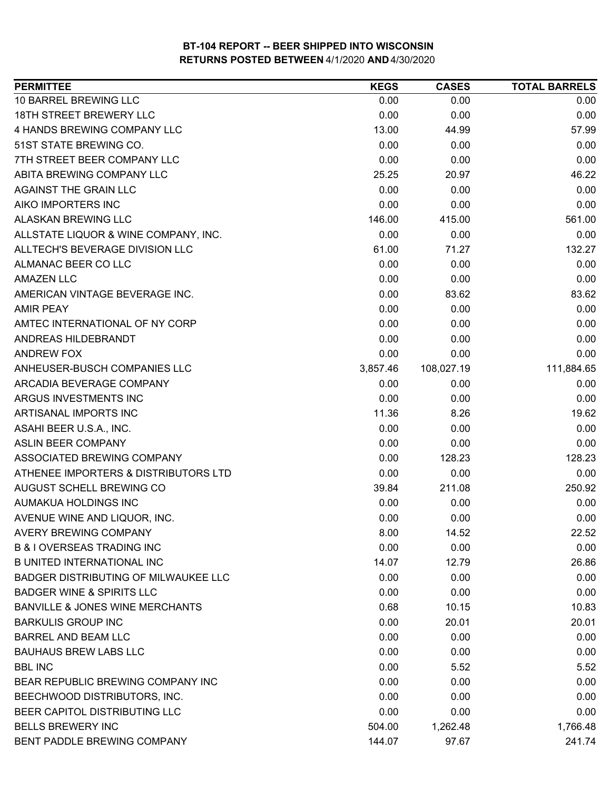| <b>PERMITTEE</b>                            | <b>KEGS</b> | <b>CASES</b> | <b>TOTAL BARRELS</b> |
|---------------------------------------------|-------------|--------------|----------------------|
| 10 BARREL BREWING LLC                       | 0.00        | 0.00         | 0.00                 |
| <b>18TH STREET BREWERY LLC</b>              | 0.00        | 0.00         | 0.00                 |
| 4 HANDS BREWING COMPANY LLC                 | 13.00       | 44.99        | 57.99                |
| 51ST STATE BREWING CO.                      | 0.00        | 0.00         | 0.00                 |
| 7TH STREET BEER COMPANY LLC                 | 0.00        | 0.00         | 0.00                 |
| ABITA BREWING COMPANY LLC                   | 25.25       | 20.97        | 46.22                |
| <b>AGAINST THE GRAIN LLC</b>                | 0.00        | 0.00         | 0.00                 |
| AIKO IMPORTERS INC                          | 0.00        | 0.00         | 0.00                 |
| <b>ALASKAN BREWING LLC</b>                  | 146.00      | 415.00       | 561.00               |
| ALLSTATE LIQUOR & WINE COMPANY, INC.        | 0.00        | 0.00         | 0.00                 |
| ALLTECH'S BEVERAGE DIVISION LLC             | 61.00       | 71.27        | 132.27               |
| ALMANAC BEER CO LLC                         | 0.00        | 0.00         | 0.00                 |
| <b>AMAZEN LLC</b>                           | 0.00        | 0.00         | 0.00                 |
| AMERICAN VINTAGE BEVERAGE INC.              | 0.00        | 83.62        | 83.62                |
| <b>AMIR PEAY</b>                            | 0.00        | 0.00         | 0.00                 |
| AMTEC INTERNATIONAL OF NY CORP              | 0.00        | 0.00         | 0.00                 |
| ANDREAS HILDEBRANDT                         | 0.00        | 0.00         | 0.00                 |
| <b>ANDREW FOX</b>                           | 0.00        | 0.00         | 0.00                 |
| ANHEUSER-BUSCH COMPANIES LLC                | 3,857.46    | 108,027.19   | 111,884.65           |
| ARCADIA BEVERAGE COMPANY                    | 0.00        | 0.00         | 0.00                 |
| ARGUS INVESTMENTS INC                       | 0.00        | 0.00         | 0.00                 |
| ARTISANAL IMPORTS INC                       | 11.36       | 8.26         | 19.62                |
| ASAHI BEER U.S.A., INC.                     | 0.00        | 0.00         | 0.00                 |
| <b>ASLIN BEER COMPANY</b>                   | 0.00        | 0.00         | 0.00                 |
| ASSOCIATED BREWING COMPANY                  | 0.00        | 128.23       | 128.23               |
| ATHENEE IMPORTERS & DISTRIBUTORS LTD        | 0.00        | 0.00         | 0.00                 |
| AUGUST SCHELL BREWING CO                    | 39.84       | 211.08       | 250.92               |
| AUMAKUA HOLDINGS INC                        | 0.00        | 0.00         | 0.00                 |
| AVENUE WINE AND LIQUOR, INC.                | 0.00        | 0.00         | 0.00                 |
| AVERY BREWING COMPANY                       | 8.00        | 14.52        | 22.52                |
| <b>B &amp; I OVERSEAS TRADING INC</b>       | 0.00        | 0.00         | 0.00                 |
| <b>B UNITED INTERNATIONAL INC</b>           | 14.07       | 12.79        | 26.86                |
| <b>BADGER DISTRIBUTING OF MILWAUKEE LLC</b> | 0.00        | 0.00         | 0.00                 |
| <b>BADGER WINE &amp; SPIRITS LLC</b>        | 0.00        | 0.00         | 0.00                 |
| <b>BANVILLE &amp; JONES WINE MERCHANTS</b>  | 0.68        | 10.15        | 10.83                |
| <b>BARKULIS GROUP INC</b>                   | 0.00        | 20.01        | 20.01                |
| <b>BARREL AND BEAM LLC</b>                  | 0.00        | 0.00         | 0.00                 |
| <b>BAUHAUS BREW LABS LLC</b>                | 0.00        | 0.00         | 0.00                 |
| <b>BBL INC</b>                              | 0.00        | 5.52         | 5.52                 |
| BEAR REPUBLIC BREWING COMPANY INC           | 0.00        | 0.00         | 0.00                 |
| BEECHWOOD DISTRIBUTORS, INC.                | 0.00        | 0.00         | 0.00                 |
| BEER CAPITOL DISTRIBUTING LLC               | 0.00        | 0.00         | 0.00                 |
| <b>BELLS BREWERY INC</b>                    | 504.00      | 1,262.48     | 1,766.48             |
| BENT PADDLE BREWING COMPANY                 | 144.07      | 97.67        | 241.74               |
|                                             |             |              |                      |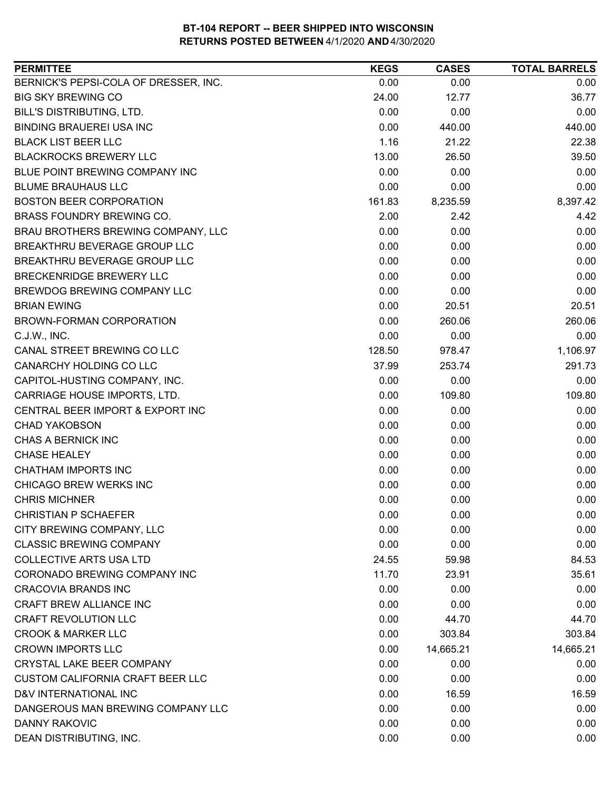| <b>PERMITTEE</b>                        | <b>KEGS</b> | <b>CASES</b> | <b>TOTAL BARRELS</b> |
|-----------------------------------------|-------------|--------------|----------------------|
| BERNICK'S PEPSI-COLA OF DRESSER, INC.   | 0.00        | 0.00         | 0.00                 |
| <b>BIG SKY BREWING CO</b>               | 24.00       | 12.77        | 36.77                |
| BILL'S DISTRIBUTING, LTD.               | 0.00        | 0.00         | 0.00                 |
| <b>BINDING BRAUEREI USA INC</b>         | 0.00        | 440.00       | 440.00               |
| <b>BLACK LIST BEER LLC</b>              | 1.16        | 21.22        | 22.38                |
| <b>BLACKROCKS BREWERY LLC</b>           | 13.00       | 26.50        | 39.50                |
| BLUE POINT BREWING COMPANY INC          | 0.00        | 0.00         | 0.00                 |
| <b>BLUME BRAUHAUS LLC</b>               | 0.00        | 0.00         | 0.00                 |
| <b>BOSTON BEER CORPORATION</b>          | 161.83      | 8,235.59     | 8,397.42             |
| BRASS FOUNDRY BREWING CO.               | 2.00        | 2.42         | 4.42                 |
| BRAU BROTHERS BREWING COMPANY, LLC      | 0.00        | 0.00         | 0.00                 |
| BREAKTHRU BEVERAGE GROUP LLC            | 0.00        | 0.00         | 0.00                 |
| BREAKTHRU BEVERAGE GROUP LLC            | 0.00        | 0.00         | 0.00                 |
| BRECKENRIDGE BREWERY LLC                | 0.00        | 0.00         | 0.00                 |
| BREWDOG BREWING COMPANY LLC             | 0.00        | 0.00         | 0.00                 |
| <b>BRIAN EWING</b>                      | 0.00        | 20.51        | 20.51                |
| BROWN-FORMAN CORPORATION                | 0.00        | 260.06       | 260.06               |
| C.J.W., INC.                            | 0.00        | 0.00         | 0.00                 |
| CANAL STREET BREWING CO LLC             | 128.50      | 978.47       | 1,106.97             |
| CANARCHY HOLDING CO LLC                 | 37.99       | 253.74       | 291.73               |
| CAPITOL-HUSTING COMPANY, INC.           | 0.00        | 0.00         | 0.00                 |
| CARRIAGE HOUSE IMPORTS, LTD.            | 0.00        | 109.80       | 109.80               |
| CENTRAL BEER IMPORT & EXPORT INC        | 0.00        | 0.00         | 0.00                 |
| <b>CHAD YAKOBSON</b>                    | 0.00        | 0.00         | 0.00                 |
| CHAS A BERNICK INC                      | 0.00        | 0.00         | 0.00                 |
| <b>CHASE HEALEY</b>                     | 0.00        | 0.00         | 0.00                 |
| <b>CHATHAM IMPORTS INC</b>              | 0.00        | 0.00         | 0.00                 |
| CHICAGO BREW WERKS INC                  | 0.00        | 0.00         | 0.00                 |
| <b>CHRIS MICHNER</b>                    | 0.00        | 0.00         | 0.00                 |
| <b>CHRISTIAN P SCHAEFER</b>             | 0.00        | 0.00         | 0.00                 |
| CITY BREWING COMPANY, LLC               | 0.00        | 0.00         | 0.00                 |
| <b>CLASSIC BREWING COMPANY</b>          | 0.00        | 0.00         | 0.00                 |
| <b>COLLECTIVE ARTS USA LTD</b>          | 24.55       | 59.98        | 84.53                |
| CORONADO BREWING COMPANY INC            | 11.70       | 23.91        | 35.61                |
| <b>CRACOVIA BRANDS INC</b>              | 0.00        | 0.00         | 0.00                 |
| CRAFT BREW ALLIANCE INC                 | 0.00        | 0.00         | 0.00                 |
| <b>CRAFT REVOLUTION LLC</b>             | 0.00        | 44.70        | 44.70                |
| <b>CROOK &amp; MARKER LLC</b>           | 0.00        | 303.84       | 303.84               |
| <b>CROWN IMPORTS LLC</b>                | 0.00        | 14,665.21    | 14,665.21            |
| CRYSTAL LAKE BEER COMPANY               | 0.00        | 0.00         | 0.00                 |
| <b>CUSTOM CALIFORNIA CRAFT BEER LLC</b> | 0.00        | 0.00         | 0.00                 |
| D&V INTERNATIONAL INC                   | 0.00        | 16.59        | 16.59                |
| DANGEROUS MAN BREWING COMPANY LLC       | 0.00        | 0.00         | 0.00                 |
| DANNY RAKOVIC                           | 0.00        | 0.00         | 0.00                 |
| DEAN DISTRIBUTING, INC.                 | 0.00        | 0.00         | 0.00                 |
|                                         |             |              |                      |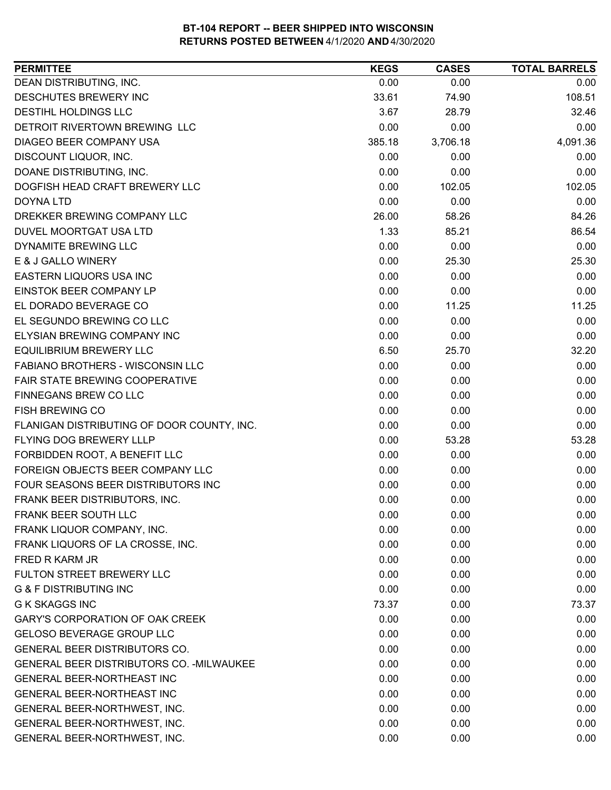| 0.00<br>0.00<br>0.00<br>108.51<br>33.61<br>74.90<br>32.46<br>3.67<br>28.79<br>0.00<br>0.00<br>0.00<br>3,706.18<br>4,091.36<br>385.18<br>0.00<br>0.00<br>0.00<br>0.00<br>0.00<br>0.00<br>0.00<br>102.05<br>102.05<br>0.00<br>0.00<br>0.00<br>26.00<br>84.26<br>58.26<br>1.33<br>86.54<br>85.21<br>0.00<br>0.00<br>0.00<br>0.00<br>25.30<br>25.30<br>0.00<br>0.00<br>0.00<br>0.00<br>0.00<br>0.00<br>0.00<br>11.25<br>11.25<br>0.00<br>0.00<br>0.00<br>0.00<br>0.00<br>0.00<br>6.50<br>32.20<br>25.70<br>0.00<br>0.00<br>0.00<br>0.00<br>0.00<br>0.00<br>0.00<br>0.00<br>0.00<br>0.00<br>0.00<br>0.00<br>0.00<br>0.00<br>0.00<br>0.00<br>53.28<br>53.28<br>0.00<br>0.00<br>0.00<br>0.00<br>0.00<br>0.00<br>0.00<br>0.00<br>0.00<br>0.00<br>0.00<br>0.00<br>0.00<br>0.00<br>0.00<br>0.00<br>0.00<br>0.00<br>0.00<br>0.00<br>0.00<br>0.00<br>0.00<br>0.00<br>0.00<br>0.00<br>0.00<br>0.00<br>0.00<br>0.00<br>73.37<br>73.37<br>0.00<br>0.00<br>0.00<br>0.00<br>0.00<br>0.00<br>0.00<br>0.00<br>0.00<br>0.00<br>0.00<br>0.00<br>0.00<br>0.00<br>0.00<br>0.00<br>0.00<br>0.00<br>0.00<br>0.00<br>0.00<br>0.00 | <b>PERMITTEE</b>                           | <b>KEGS</b> | <b>CASES</b> | <b>TOTAL BARRELS</b> |
|---------------------------------------------------------------------------------------------------------------------------------------------------------------------------------------------------------------------------------------------------------------------------------------------------------------------------------------------------------------------------------------------------------------------------------------------------------------------------------------------------------------------------------------------------------------------------------------------------------------------------------------------------------------------------------------------------------------------------------------------------------------------------------------------------------------------------------------------------------------------------------------------------------------------------------------------------------------------------------------------------------------------------------------------------------------------------------------------------------|--------------------------------------------|-------------|--------------|----------------------|
|                                                                                                                                                                                                                                                                                                                                                                                                                                                                                                                                                                                                                                                                                                                                                                                                                                                                                                                                                                                                                                                                                                         | DEAN DISTRIBUTING, INC.                    |             |              |                      |
|                                                                                                                                                                                                                                                                                                                                                                                                                                                                                                                                                                                                                                                                                                                                                                                                                                                                                                                                                                                                                                                                                                         | DESCHUTES BREWERY INC                      |             |              |                      |
|                                                                                                                                                                                                                                                                                                                                                                                                                                                                                                                                                                                                                                                                                                                                                                                                                                                                                                                                                                                                                                                                                                         | <b>DESTIHL HOLDINGS LLC</b>                |             |              |                      |
|                                                                                                                                                                                                                                                                                                                                                                                                                                                                                                                                                                                                                                                                                                                                                                                                                                                                                                                                                                                                                                                                                                         | DETROIT RIVERTOWN BREWING LLC              |             |              |                      |
|                                                                                                                                                                                                                                                                                                                                                                                                                                                                                                                                                                                                                                                                                                                                                                                                                                                                                                                                                                                                                                                                                                         | DIAGEO BEER COMPANY USA                    |             |              |                      |
|                                                                                                                                                                                                                                                                                                                                                                                                                                                                                                                                                                                                                                                                                                                                                                                                                                                                                                                                                                                                                                                                                                         | DISCOUNT LIQUOR, INC.                      |             |              |                      |
|                                                                                                                                                                                                                                                                                                                                                                                                                                                                                                                                                                                                                                                                                                                                                                                                                                                                                                                                                                                                                                                                                                         | DOANE DISTRIBUTING, INC.                   |             |              |                      |
|                                                                                                                                                                                                                                                                                                                                                                                                                                                                                                                                                                                                                                                                                                                                                                                                                                                                                                                                                                                                                                                                                                         | DOGFISH HEAD CRAFT BREWERY LLC             |             |              |                      |
|                                                                                                                                                                                                                                                                                                                                                                                                                                                                                                                                                                                                                                                                                                                                                                                                                                                                                                                                                                                                                                                                                                         | <b>DOYNA LTD</b>                           |             |              |                      |
|                                                                                                                                                                                                                                                                                                                                                                                                                                                                                                                                                                                                                                                                                                                                                                                                                                                                                                                                                                                                                                                                                                         | DREKKER BREWING COMPANY LLC                |             |              |                      |
|                                                                                                                                                                                                                                                                                                                                                                                                                                                                                                                                                                                                                                                                                                                                                                                                                                                                                                                                                                                                                                                                                                         | DUVEL MOORTGAT USA LTD                     |             |              |                      |
|                                                                                                                                                                                                                                                                                                                                                                                                                                                                                                                                                                                                                                                                                                                                                                                                                                                                                                                                                                                                                                                                                                         | DYNAMITE BREWING LLC                       |             |              |                      |
|                                                                                                                                                                                                                                                                                                                                                                                                                                                                                                                                                                                                                                                                                                                                                                                                                                                                                                                                                                                                                                                                                                         | E & J GALLO WINERY                         |             |              |                      |
|                                                                                                                                                                                                                                                                                                                                                                                                                                                                                                                                                                                                                                                                                                                                                                                                                                                                                                                                                                                                                                                                                                         | EASTERN LIQUORS USA INC                    |             |              |                      |
|                                                                                                                                                                                                                                                                                                                                                                                                                                                                                                                                                                                                                                                                                                                                                                                                                                                                                                                                                                                                                                                                                                         | EINSTOK BEER COMPANY LP                    |             |              |                      |
|                                                                                                                                                                                                                                                                                                                                                                                                                                                                                                                                                                                                                                                                                                                                                                                                                                                                                                                                                                                                                                                                                                         | EL DORADO BEVERAGE CO                      |             |              |                      |
|                                                                                                                                                                                                                                                                                                                                                                                                                                                                                                                                                                                                                                                                                                                                                                                                                                                                                                                                                                                                                                                                                                         | EL SEGUNDO BREWING CO LLC                  |             |              |                      |
|                                                                                                                                                                                                                                                                                                                                                                                                                                                                                                                                                                                                                                                                                                                                                                                                                                                                                                                                                                                                                                                                                                         | ELYSIAN BREWING COMPANY INC                |             |              |                      |
|                                                                                                                                                                                                                                                                                                                                                                                                                                                                                                                                                                                                                                                                                                                                                                                                                                                                                                                                                                                                                                                                                                         | <b>EQUILIBRIUM BREWERY LLC</b>             |             |              |                      |
|                                                                                                                                                                                                                                                                                                                                                                                                                                                                                                                                                                                                                                                                                                                                                                                                                                                                                                                                                                                                                                                                                                         | <b>FABIANO BROTHERS - WISCONSIN LLC</b>    |             |              |                      |
|                                                                                                                                                                                                                                                                                                                                                                                                                                                                                                                                                                                                                                                                                                                                                                                                                                                                                                                                                                                                                                                                                                         | FAIR STATE BREWING COOPERATIVE             |             |              |                      |
|                                                                                                                                                                                                                                                                                                                                                                                                                                                                                                                                                                                                                                                                                                                                                                                                                                                                                                                                                                                                                                                                                                         | FINNEGANS BREW CO LLC                      |             |              |                      |
|                                                                                                                                                                                                                                                                                                                                                                                                                                                                                                                                                                                                                                                                                                                                                                                                                                                                                                                                                                                                                                                                                                         | FISH BREWING CO                            |             |              |                      |
|                                                                                                                                                                                                                                                                                                                                                                                                                                                                                                                                                                                                                                                                                                                                                                                                                                                                                                                                                                                                                                                                                                         | FLANIGAN DISTRIBUTING OF DOOR COUNTY, INC. |             |              |                      |
|                                                                                                                                                                                                                                                                                                                                                                                                                                                                                                                                                                                                                                                                                                                                                                                                                                                                                                                                                                                                                                                                                                         | FLYING DOG BREWERY LLLP                    |             |              |                      |
|                                                                                                                                                                                                                                                                                                                                                                                                                                                                                                                                                                                                                                                                                                                                                                                                                                                                                                                                                                                                                                                                                                         | FORBIDDEN ROOT, A BENEFIT LLC              |             |              |                      |
|                                                                                                                                                                                                                                                                                                                                                                                                                                                                                                                                                                                                                                                                                                                                                                                                                                                                                                                                                                                                                                                                                                         | FOREIGN OBJECTS BEER COMPANY LLC           |             |              |                      |
|                                                                                                                                                                                                                                                                                                                                                                                                                                                                                                                                                                                                                                                                                                                                                                                                                                                                                                                                                                                                                                                                                                         | FOUR SEASONS BEER DISTRIBUTORS INC         |             |              |                      |
|                                                                                                                                                                                                                                                                                                                                                                                                                                                                                                                                                                                                                                                                                                                                                                                                                                                                                                                                                                                                                                                                                                         | FRANK BEER DISTRIBUTORS, INC.              |             |              |                      |
|                                                                                                                                                                                                                                                                                                                                                                                                                                                                                                                                                                                                                                                                                                                                                                                                                                                                                                                                                                                                                                                                                                         | FRANK BEER SOUTH LLC                       |             |              |                      |
|                                                                                                                                                                                                                                                                                                                                                                                                                                                                                                                                                                                                                                                                                                                                                                                                                                                                                                                                                                                                                                                                                                         | FRANK LIQUOR COMPANY, INC.                 |             |              |                      |
|                                                                                                                                                                                                                                                                                                                                                                                                                                                                                                                                                                                                                                                                                                                                                                                                                                                                                                                                                                                                                                                                                                         | FRANK LIQUORS OF LA CROSSE, INC.           |             |              |                      |
|                                                                                                                                                                                                                                                                                                                                                                                                                                                                                                                                                                                                                                                                                                                                                                                                                                                                                                                                                                                                                                                                                                         | <b>FRED R KARM JR</b>                      |             |              |                      |
|                                                                                                                                                                                                                                                                                                                                                                                                                                                                                                                                                                                                                                                                                                                                                                                                                                                                                                                                                                                                                                                                                                         | FULTON STREET BREWERY LLC                  |             |              |                      |
|                                                                                                                                                                                                                                                                                                                                                                                                                                                                                                                                                                                                                                                                                                                                                                                                                                                                                                                                                                                                                                                                                                         | <b>G &amp; F DISTRIBUTING INC</b>          |             |              |                      |
|                                                                                                                                                                                                                                                                                                                                                                                                                                                                                                                                                                                                                                                                                                                                                                                                                                                                                                                                                                                                                                                                                                         | <b>G K SKAGGS INC</b>                      |             |              |                      |
|                                                                                                                                                                                                                                                                                                                                                                                                                                                                                                                                                                                                                                                                                                                                                                                                                                                                                                                                                                                                                                                                                                         | <b>GARY'S CORPORATION OF OAK CREEK</b>     |             |              |                      |
|                                                                                                                                                                                                                                                                                                                                                                                                                                                                                                                                                                                                                                                                                                                                                                                                                                                                                                                                                                                                                                                                                                         | <b>GELOSO BEVERAGE GROUP LLC</b>           |             |              |                      |
|                                                                                                                                                                                                                                                                                                                                                                                                                                                                                                                                                                                                                                                                                                                                                                                                                                                                                                                                                                                                                                                                                                         | <b>GENERAL BEER DISTRIBUTORS CO.</b>       |             |              |                      |
|                                                                                                                                                                                                                                                                                                                                                                                                                                                                                                                                                                                                                                                                                                                                                                                                                                                                                                                                                                                                                                                                                                         | GENERAL BEER DISTRIBUTORS CO. - MILWAUKEE  |             |              |                      |
|                                                                                                                                                                                                                                                                                                                                                                                                                                                                                                                                                                                                                                                                                                                                                                                                                                                                                                                                                                                                                                                                                                         | <b>GENERAL BEER-NORTHEAST INC</b>          |             |              |                      |
|                                                                                                                                                                                                                                                                                                                                                                                                                                                                                                                                                                                                                                                                                                                                                                                                                                                                                                                                                                                                                                                                                                         | <b>GENERAL BEER-NORTHEAST INC</b>          |             |              |                      |
|                                                                                                                                                                                                                                                                                                                                                                                                                                                                                                                                                                                                                                                                                                                                                                                                                                                                                                                                                                                                                                                                                                         | GENERAL BEER-NORTHWEST, INC.               |             |              |                      |
|                                                                                                                                                                                                                                                                                                                                                                                                                                                                                                                                                                                                                                                                                                                                                                                                                                                                                                                                                                                                                                                                                                         | GENERAL BEER-NORTHWEST, INC.               | 0.00        | 0.00         | 0.00                 |
| 0.00<br>0.00<br>0.00                                                                                                                                                                                                                                                                                                                                                                                                                                                                                                                                                                                                                                                                                                                                                                                                                                                                                                                                                                                                                                                                                    | GENERAL BEER-NORTHWEST, INC.               |             |              |                      |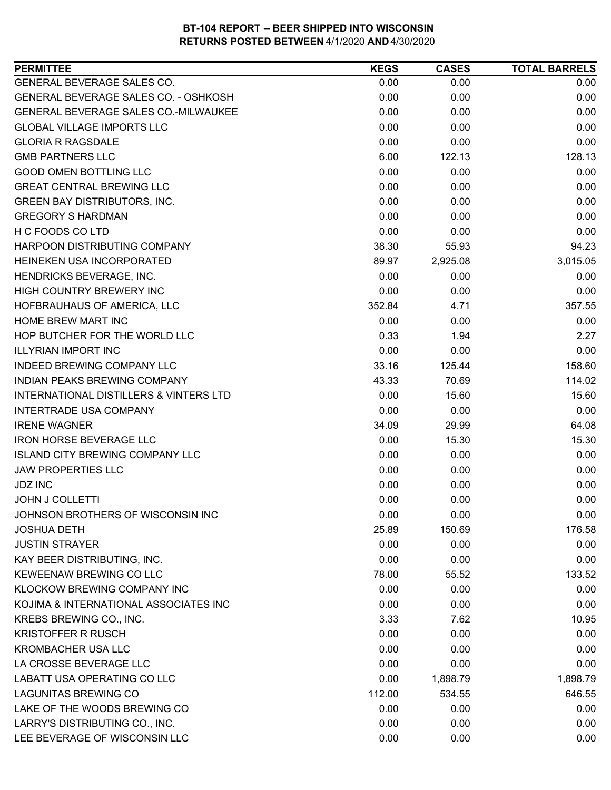| GENERAL BEVERAGE SALES CO.<br>0.00<br>0.00<br>0.00<br><b>GENERAL BEVERAGE SALES CO. - OSHKOSH</b><br>0.00<br>0.00<br>0.00<br>GENERAL BEVERAGE SALES CO.-MILWAUKEE<br>0.00<br>0.00<br>0.00<br><b>GLOBAL VILLAGE IMPORTS LLC</b><br>0.00<br>0.00<br>0.00<br><b>GLORIA R RAGSDALE</b><br>0.00<br>0.00<br>0.00<br><b>GMB PARTNERS LLC</b><br>6.00<br>128.13<br>122.13<br><b>GOOD OMEN BOTTLING LLC</b><br>0.00<br>0.00<br>0.00<br><b>GREAT CENTRAL BREWING LLC</b><br>0.00<br>0.00<br>0.00<br>0.00<br><b>GREEN BAY DISTRIBUTORS, INC.</b><br>0.00<br>0.00<br><b>GREGORY S HARDMAN</b><br>0.00<br>0.00<br>0.00<br>H C FOODS CO LTD<br>0.00<br>0.00<br>0.00<br>HARPOON DISTRIBUTING COMPANY<br>38.30<br>55.93<br>89.97<br>2,925.08<br>3,015.05<br>HEINEKEN USA INCORPORATED<br>0.00<br>0.00<br>0.00<br>HIGH COUNTRY BREWERY INC<br>0.00<br>0.00<br>0.00<br>357.55<br>HOFBRAUHAUS OF AMERICA, LLC<br>352.84<br>4.71<br>0.00<br>0.00<br>0.00<br>2.27<br>0.33<br>1.94<br><b>ILLYRIAN IMPORT INC</b><br>0.00<br>0.00<br>0.00<br><b>INDEED BREWING COMPANY LLC</b><br>33.16<br>125.44<br>158.60<br>INDIAN PEAKS BREWING COMPANY<br>114.02<br>43.33<br>70.69<br><b>INTERNATIONAL DISTILLERS &amp; VINTERS LTD</b><br>0.00<br>15.60<br>15.60<br>INTERTRADE USA COMPANY<br>0.00<br>0.00<br>0.00<br><b>IRENE WAGNER</b><br>34.09<br>29.99<br>64.08<br><b>IRON HORSE BEVERAGE LLC</b><br>0.00<br>15.30<br>15.30<br><b>ISLAND CITY BREWING COMPANY LLC</b><br>0.00<br>0.00<br>0.00<br><b>JAW PROPERTIES LLC</b><br>0.00<br>0.00<br>0.00<br><b>JDZ INC</b><br>0.00<br>0.00<br>0.00<br>0.00<br>0.00<br>0.00<br><b>JOHN J COLLETTI</b><br>JOHNSON BROTHERS OF WISCONSIN INC<br>0.00<br>0.00<br>0.00<br>150.69<br>176.58<br><b>JOSHUA DETH</b><br>25.89<br><b>JUSTIN STRAYER</b><br>0.00<br>0.00<br>0.00<br>0.00<br>0.00<br>0.00<br>78.00<br>55.52<br>133.52<br>0.00<br>0.00<br>0.00<br>0.00<br>0.00<br>0.00<br>3.33<br>7.62<br>10.95<br>0.00<br>0.00<br>0.00<br>0.00<br>0.00<br>0.00<br>0.00<br>0.00<br>0.00<br>0.00<br>1,898.79<br>1,898.79<br>646.55<br>112.00<br>534.55<br>0.00<br>0.00<br>0.00<br>0.00<br>0.00<br>0.00<br>0.00<br>0.00<br>0.00 | <b>PERMITTEE</b>                      | <b>KEGS</b> | <b>CASES</b> | <b>TOTAL BARRELS</b> |
|--------------------------------------------------------------------------------------------------------------------------------------------------------------------------------------------------------------------------------------------------------------------------------------------------------------------------------------------------------------------------------------------------------------------------------------------------------------------------------------------------------------------------------------------------------------------------------------------------------------------------------------------------------------------------------------------------------------------------------------------------------------------------------------------------------------------------------------------------------------------------------------------------------------------------------------------------------------------------------------------------------------------------------------------------------------------------------------------------------------------------------------------------------------------------------------------------------------------------------------------------------------------------------------------------------------------------------------------------------------------------------------------------------------------------------------------------------------------------------------------------------------------------------------------------------------------------------------------------------------------------------------------------------------------------------------------------------------------------------------------------------------------------------------------------------------------------------------------------------------------------------------------------------------------------------------------------------------------------------------------------------------------------------------------------------------------------------------------------------------------------------|---------------------------------------|-------------|--------------|----------------------|
|                                                                                                                                                                                                                                                                                                                                                                                                                                                                                                                                                                                                                                                                                                                                                                                                                                                                                                                                                                                                                                                                                                                                                                                                                                                                                                                                                                                                                                                                                                                                                                                                                                                                                                                                                                                                                                                                                                                                                                                                                                                                                                                                |                                       |             |              |                      |
| 94.23                                                                                                                                                                                                                                                                                                                                                                                                                                                                                                                                                                                                                                                                                                                                                                                                                                                                                                                                                                                                                                                                                                                                                                                                                                                                                                                                                                                                                                                                                                                                                                                                                                                                                                                                                                                                                                                                                                                                                                                                                                                                                                                          |                                       |             |              |                      |
|                                                                                                                                                                                                                                                                                                                                                                                                                                                                                                                                                                                                                                                                                                                                                                                                                                                                                                                                                                                                                                                                                                                                                                                                                                                                                                                                                                                                                                                                                                                                                                                                                                                                                                                                                                                                                                                                                                                                                                                                                                                                                                                                |                                       |             |              |                      |
|                                                                                                                                                                                                                                                                                                                                                                                                                                                                                                                                                                                                                                                                                                                                                                                                                                                                                                                                                                                                                                                                                                                                                                                                                                                                                                                                                                                                                                                                                                                                                                                                                                                                                                                                                                                                                                                                                                                                                                                                                                                                                                                                |                                       |             |              |                      |
|                                                                                                                                                                                                                                                                                                                                                                                                                                                                                                                                                                                                                                                                                                                                                                                                                                                                                                                                                                                                                                                                                                                                                                                                                                                                                                                                                                                                                                                                                                                                                                                                                                                                                                                                                                                                                                                                                                                                                                                                                                                                                                                                |                                       |             |              |                      |
|                                                                                                                                                                                                                                                                                                                                                                                                                                                                                                                                                                                                                                                                                                                                                                                                                                                                                                                                                                                                                                                                                                                                                                                                                                                                                                                                                                                                                                                                                                                                                                                                                                                                                                                                                                                                                                                                                                                                                                                                                                                                                                                                |                                       |             |              |                      |
|                                                                                                                                                                                                                                                                                                                                                                                                                                                                                                                                                                                                                                                                                                                                                                                                                                                                                                                                                                                                                                                                                                                                                                                                                                                                                                                                                                                                                                                                                                                                                                                                                                                                                                                                                                                                                                                                                                                                                                                                                                                                                                                                |                                       |             |              |                      |
|                                                                                                                                                                                                                                                                                                                                                                                                                                                                                                                                                                                                                                                                                                                                                                                                                                                                                                                                                                                                                                                                                                                                                                                                                                                                                                                                                                                                                                                                                                                                                                                                                                                                                                                                                                                                                                                                                                                                                                                                                                                                                                                                |                                       |             |              |                      |
|                                                                                                                                                                                                                                                                                                                                                                                                                                                                                                                                                                                                                                                                                                                                                                                                                                                                                                                                                                                                                                                                                                                                                                                                                                                                                                                                                                                                                                                                                                                                                                                                                                                                                                                                                                                                                                                                                                                                                                                                                                                                                                                                |                                       |             |              |                      |
|                                                                                                                                                                                                                                                                                                                                                                                                                                                                                                                                                                                                                                                                                                                                                                                                                                                                                                                                                                                                                                                                                                                                                                                                                                                                                                                                                                                                                                                                                                                                                                                                                                                                                                                                                                                                                                                                                                                                                                                                                                                                                                                                |                                       |             |              |                      |
|                                                                                                                                                                                                                                                                                                                                                                                                                                                                                                                                                                                                                                                                                                                                                                                                                                                                                                                                                                                                                                                                                                                                                                                                                                                                                                                                                                                                                                                                                                                                                                                                                                                                                                                                                                                                                                                                                                                                                                                                                                                                                                                                |                                       |             |              |                      |
|                                                                                                                                                                                                                                                                                                                                                                                                                                                                                                                                                                                                                                                                                                                                                                                                                                                                                                                                                                                                                                                                                                                                                                                                                                                                                                                                                                                                                                                                                                                                                                                                                                                                                                                                                                                                                                                                                                                                                                                                                                                                                                                                |                                       |             |              |                      |
|                                                                                                                                                                                                                                                                                                                                                                                                                                                                                                                                                                                                                                                                                                                                                                                                                                                                                                                                                                                                                                                                                                                                                                                                                                                                                                                                                                                                                                                                                                                                                                                                                                                                                                                                                                                                                                                                                                                                                                                                                                                                                                                                |                                       |             |              |                      |
|                                                                                                                                                                                                                                                                                                                                                                                                                                                                                                                                                                                                                                                                                                                                                                                                                                                                                                                                                                                                                                                                                                                                                                                                                                                                                                                                                                                                                                                                                                                                                                                                                                                                                                                                                                                                                                                                                                                                                                                                                                                                                                                                | HENDRICKS BEVERAGE, INC.              |             |              |                      |
|                                                                                                                                                                                                                                                                                                                                                                                                                                                                                                                                                                                                                                                                                                                                                                                                                                                                                                                                                                                                                                                                                                                                                                                                                                                                                                                                                                                                                                                                                                                                                                                                                                                                                                                                                                                                                                                                                                                                                                                                                                                                                                                                |                                       |             |              |                      |
|                                                                                                                                                                                                                                                                                                                                                                                                                                                                                                                                                                                                                                                                                                                                                                                                                                                                                                                                                                                                                                                                                                                                                                                                                                                                                                                                                                                                                                                                                                                                                                                                                                                                                                                                                                                                                                                                                                                                                                                                                                                                                                                                |                                       |             |              |                      |
|                                                                                                                                                                                                                                                                                                                                                                                                                                                                                                                                                                                                                                                                                                                                                                                                                                                                                                                                                                                                                                                                                                                                                                                                                                                                                                                                                                                                                                                                                                                                                                                                                                                                                                                                                                                                                                                                                                                                                                                                                                                                                                                                | <b>HOME BREW MART INC</b>             |             |              |                      |
|                                                                                                                                                                                                                                                                                                                                                                                                                                                                                                                                                                                                                                                                                                                                                                                                                                                                                                                                                                                                                                                                                                                                                                                                                                                                                                                                                                                                                                                                                                                                                                                                                                                                                                                                                                                                                                                                                                                                                                                                                                                                                                                                | HOP BUTCHER FOR THE WORLD LLC         |             |              |                      |
|                                                                                                                                                                                                                                                                                                                                                                                                                                                                                                                                                                                                                                                                                                                                                                                                                                                                                                                                                                                                                                                                                                                                                                                                                                                                                                                                                                                                                                                                                                                                                                                                                                                                                                                                                                                                                                                                                                                                                                                                                                                                                                                                |                                       |             |              |                      |
|                                                                                                                                                                                                                                                                                                                                                                                                                                                                                                                                                                                                                                                                                                                                                                                                                                                                                                                                                                                                                                                                                                                                                                                                                                                                                                                                                                                                                                                                                                                                                                                                                                                                                                                                                                                                                                                                                                                                                                                                                                                                                                                                |                                       |             |              |                      |
|                                                                                                                                                                                                                                                                                                                                                                                                                                                                                                                                                                                                                                                                                                                                                                                                                                                                                                                                                                                                                                                                                                                                                                                                                                                                                                                                                                                                                                                                                                                                                                                                                                                                                                                                                                                                                                                                                                                                                                                                                                                                                                                                |                                       |             |              |                      |
|                                                                                                                                                                                                                                                                                                                                                                                                                                                                                                                                                                                                                                                                                                                                                                                                                                                                                                                                                                                                                                                                                                                                                                                                                                                                                                                                                                                                                                                                                                                                                                                                                                                                                                                                                                                                                                                                                                                                                                                                                                                                                                                                |                                       |             |              |                      |
|                                                                                                                                                                                                                                                                                                                                                                                                                                                                                                                                                                                                                                                                                                                                                                                                                                                                                                                                                                                                                                                                                                                                                                                                                                                                                                                                                                                                                                                                                                                                                                                                                                                                                                                                                                                                                                                                                                                                                                                                                                                                                                                                |                                       |             |              |                      |
|                                                                                                                                                                                                                                                                                                                                                                                                                                                                                                                                                                                                                                                                                                                                                                                                                                                                                                                                                                                                                                                                                                                                                                                                                                                                                                                                                                                                                                                                                                                                                                                                                                                                                                                                                                                                                                                                                                                                                                                                                                                                                                                                |                                       |             |              |                      |
|                                                                                                                                                                                                                                                                                                                                                                                                                                                                                                                                                                                                                                                                                                                                                                                                                                                                                                                                                                                                                                                                                                                                                                                                                                                                                                                                                                                                                                                                                                                                                                                                                                                                                                                                                                                                                                                                                                                                                                                                                                                                                                                                |                                       |             |              |                      |
|                                                                                                                                                                                                                                                                                                                                                                                                                                                                                                                                                                                                                                                                                                                                                                                                                                                                                                                                                                                                                                                                                                                                                                                                                                                                                                                                                                                                                                                                                                                                                                                                                                                                                                                                                                                                                                                                                                                                                                                                                                                                                                                                |                                       |             |              |                      |
|                                                                                                                                                                                                                                                                                                                                                                                                                                                                                                                                                                                                                                                                                                                                                                                                                                                                                                                                                                                                                                                                                                                                                                                                                                                                                                                                                                                                                                                                                                                                                                                                                                                                                                                                                                                                                                                                                                                                                                                                                                                                                                                                |                                       |             |              |                      |
|                                                                                                                                                                                                                                                                                                                                                                                                                                                                                                                                                                                                                                                                                                                                                                                                                                                                                                                                                                                                                                                                                                                                                                                                                                                                                                                                                                                                                                                                                                                                                                                                                                                                                                                                                                                                                                                                                                                                                                                                                                                                                                                                |                                       |             |              |                      |
|                                                                                                                                                                                                                                                                                                                                                                                                                                                                                                                                                                                                                                                                                                                                                                                                                                                                                                                                                                                                                                                                                                                                                                                                                                                                                                                                                                                                                                                                                                                                                                                                                                                                                                                                                                                                                                                                                                                                                                                                                                                                                                                                |                                       |             |              |                      |
|                                                                                                                                                                                                                                                                                                                                                                                                                                                                                                                                                                                                                                                                                                                                                                                                                                                                                                                                                                                                                                                                                                                                                                                                                                                                                                                                                                                                                                                                                                                                                                                                                                                                                                                                                                                                                                                                                                                                                                                                                                                                                                                                |                                       |             |              |                      |
|                                                                                                                                                                                                                                                                                                                                                                                                                                                                                                                                                                                                                                                                                                                                                                                                                                                                                                                                                                                                                                                                                                                                                                                                                                                                                                                                                                                                                                                                                                                                                                                                                                                                                                                                                                                                                                                                                                                                                                                                                                                                                                                                |                                       |             |              |                      |
|                                                                                                                                                                                                                                                                                                                                                                                                                                                                                                                                                                                                                                                                                                                                                                                                                                                                                                                                                                                                                                                                                                                                                                                                                                                                                                                                                                                                                                                                                                                                                                                                                                                                                                                                                                                                                                                                                                                                                                                                                                                                                                                                |                                       |             |              |                      |
|                                                                                                                                                                                                                                                                                                                                                                                                                                                                                                                                                                                                                                                                                                                                                                                                                                                                                                                                                                                                                                                                                                                                                                                                                                                                                                                                                                                                                                                                                                                                                                                                                                                                                                                                                                                                                                                                                                                                                                                                                                                                                                                                | KAY BEER DISTRIBUTING, INC.           |             |              |                      |
|                                                                                                                                                                                                                                                                                                                                                                                                                                                                                                                                                                                                                                                                                                                                                                                                                                                                                                                                                                                                                                                                                                                                                                                                                                                                                                                                                                                                                                                                                                                                                                                                                                                                                                                                                                                                                                                                                                                                                                                                                                                                                                                                | KEWEENAW BREWING CO LLC               |             |              |                      |
|                                                                                                                                                                                                                                                                                                                                                                                                                                                                                                                                                                                                                                                                                                                                                                                                                                                                                                                                                                                                                                                                                                                                                                                                                                                                                                                                                                                                                                                                                                                                                                                                                                                                                                                                                                                                                                                                                                                                                                                                                                                                                                                                | KLOCKOW BREWING COMPANY INC           |             |              |                      |
|                                                                                                                                                                                                                                                                                                                                                                                                                                                                                                                                                                                                                                                                                                                                                                                                                                                                                                                                                                                                                                                                                                                                                                                                                                                                                                                                                                                                                                                                                                                                                                                                                                                                                                                                                                                                                                                                                                                                                                                                                                                                                                                                | KOJIMA & INTERNATIONAL ASSOCIATES INC |             |              |                      |
|                                                                                                                                                                                                                                                                                                                                                                                                                                                                                                                                                                                                                                                                                                                                                                                                                                                                                                                                                                                                                                                                                                                                                                                                                                                                                                                                                                                                                                                                                                                                                                                                                                                                                                                                                                                                                                                                                                                                                                                                                                                                                                                                | KREBS BREWING CO., INC.               |             |              |                      |
|                                                                                                                                                                                                                                                                                                                                                                                                                                                                                                                                                                                                                                                                                                                                                                                                                                                                                                                                                                                                                                                                                                                                                                                                                                                                                                                                                                                                                                                                                                                                                                                                                                                                                                                                                                                                                                                                                                                                                                                                                                                                                                                                | <b>KRISTOFFER R RUSCH</b>             |             |              |                      |
|                                                                                                                                                                                                                                                                                                                                                                                                                                                                                                                                                                                                                                                                                                                                                                                                                                                                                                                                                                                                                                                                                                                                                                                                                                                                                                                                                                                                                                                                                                                                                                                                                                                                                                                                                                                                                                                                                                                                                                                                                                                                                                                                | <b>KROMBACHER USA LLC</b>             |             |              |                      |
|                                                                                                                                                                                                                                                                                                                                                                                                                                                                                                                                                                                                                                                                                                                                                                                                                                                                                                                                                                                                                                                                                                                                                                                                                                                                                                                                                                                                                                                                                                                                                                                                                                                                                                                                                                                                                                                                                                                                                                                                                                                                                                                                | LA CROSSE BEVERAGE LLC                |             |              |                      |
|                                                                                                                                                                                                                                                                                                                                                                                                                                                                                                                                                                                                                                                                                                                                                                                                                                                                                                                                                                                                                                                                                                                                                                                                                                                                                                                                                                                                                                                                                                                                                                                                                                                                                                                                                                                                                                                                                                                                                                                                                                                                                                                                | LABATT USA OPERATING CO LLC           |             |              |                      |
|                                                                                                                                                                                                                                                                                                                                                                                                                                                                                                                                                                                                                                                                                                                                                                                                                                                                                                                                                                                                                                                                                                                                                                                                                                                                                                                                                                                                                                                                                                                                                                                                                                                                                                                                                                                                                                                                                                                                                                                                                                                                                                                                | <b>LAGUNITAS BREWING CO</b>           |             |              |                      |
|                                                                                                                                                                                                                                                                                                                                                                                                                                                                                                                                                                                                                                                                                                                                                                                                                                                                                                                                                                                                                                                                                                                                                                                                                                                                                                                                                                                                                                                                                                                                                                                                                                                                                                                                                                                                                                                                                                                                                                                                                                                                                                                                | LAKE OF THE WOODS BREWING CO          |             |              |                      |
|                                                                                                                                                                                                                                                                                                                                                                                                                                                                                                                                                                                                                                                                                                                                                                                                                                                                                                                                                                                                                                                                                                                                                                                                                                                                                                                                                                                                                                                                                                                                                                                                                                                                                                                                                                                                                                                                                                                                                                                                                                                                                                                                | LARRY'S DISTRIBUTING CO., INC.        |             |              |                      |
|                                                                                                                                                                                                                                                                                                                                                                                                                                                                                                                                                                                                                                                                                                                                                                                                                                                                                                                                                                                                                                                                                                                                                                                                                                                                                                                                                                                                                                                                                                                                                                                                                                                                                                                                                                                                                                                                                                                                                                                                                                                                                                                                | LEE BEVERAGE OF WISCONSIN LLC         |             |              |                      |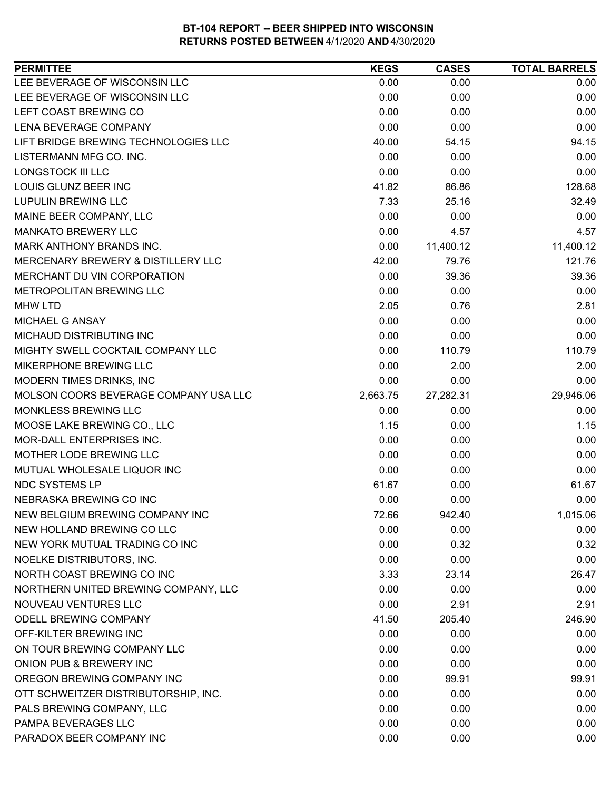| LEE BEVERAGE OF WISCONSIN LLC<br>0.00<br>0.00<br>0.00<br>LEE BEVERAGE OF WISCONSIN LLC<br>0.00<br>0.00<br>0.00<br>LEFT COAST BREWING CO<br>0.00<br>0.00<br>0.00<br>LENA BEVERAGE COMPANY<br>0.00<br>0.00<br>0.00<br>LIFT BRIDGE BREWING TECHNOLOGIES LLC<br>94.15<br>40.00<br>54.15<br>LISTERMANN MFG CO. INC.<br>0.00<br>0.00<br>0.00<br><b>LONGSTOCK III LLC</b><br>0.00<br>0.00<br>0.00<br>128.68<br>LOUIS GLUNZ BEER INC<br>41.82<br>86.86<br>32.49<br><b>LUPULIN BREWING LLC</b><br>7.33<br>25.16<br>0.00<br>MAINE BEER COMPANY, LLC<br>0.00<br>0.00<br><b>MANKATO BREWERY LLC</b><br>0.00<br>4.57<br>4.57<br>11,400.12<br>MARK ANTHONY BRANDS INC.<br>0.00<br>11,400.12<br>MERCENARY BREWERY & DISTILLERY LLC<br>42.00<br>79.76<br>121.76<br>MERCHANT DU VIN CORPORATION<br>0.00<br>39.36<br>39.36<br>METROPOLITAN BREWING LLC<br>0.00<br>0.00<br>0.00<br>2.05<br>0.76<br>2.81<br><b>MHW LTD</b><br>0.00<br>0.00<br>0.00<br>MICHAEL G ANSAY<br>MICHAUD DISTRIBUTING INC<br>0.00<br>0.00<br>0.00<br>MIGHTY SWELL COCKTAIL COMPANY LLC<br>0.00<br>110.79<br>110.79<br>0.00<br>MIKERPHONE BREWING LLC<br>2.00<br>2.00<br>0.00<br>MODERN TIMES DRINKS, INC<br>0.00<br>0.00<br>MOLSON COORS BEVERAGE COMPANY USA LLC<br>29,946.06<br>2,663.75<br>27,282.31<br>MONKLESS BREWING LLC<br>0.00<br>0.00<br>0.00<br>MOOSE LAKE BREWING CO., LLC<br>1.15<br>0.00<br>1.15<br>0.00<br>MOR-DALL ENTERPRISES INC.<br>0.00<br>0.00<br>MOTHER LODE BREWING LLC<br>0.00<br>0.00<br>0.00<br>MUTUAL WHOLESALE LIQUOR INC<br>0.00<br>0.00<br>0.00<br>NDC SYSTEMS LP<br>61.67<br>0.00<br>61.67<br>0.00<br>NEBRASKA BREWING CO INC<br>0.00<br>0.00<br>NEW BELGIUM BREWING COMPANY INC<br>72.66<br>942.40<br>1,015.06<br>0.00<br>0.00<br>0.00<br>NEW HOLLAND BREWING CO LLC<br>NEW YORK MUTUAL TRADING CO INC<br>0.00<br>0.32<br>0.32<br>NOELKE DISTRIBUTORS, INC.<br>0.00<br>0.00<br>0.00<br>NORTH COAST BREWING CO INC<br>3.33<br>23.14<br>26.47<br>NORTHERN UNITED BREWING COMPANY, LLC<br>0.00<br>0.00<br>0.00<br>NOUVEAU VENTURES LLC<br>0.00<br>2.91<br>2.91<br><b>ODELL BREWING COMPANY</b><br>205.40<br>246.90<br>41.50<br>OFF-KILTER BREWING INC<br>0.00<br>0.00<br>0.00<br>ON TOUR BREWING COMPANY LLC<br>0.00<br>0.00<br>0.00<br>ONION PUB & BREWERY INC<br>0.00<br>0.00<br>0.00<br>0.00<br>OREGON BREWING COMPANY INC<br>99.91<br>99.91<br>OTT SCHWEITZER DISTRIBUTORSHIP, INC.<br>0.00<br>0.00<br>0.00<br>0.00<br>0.00<br>PALS BREWING COMPANY, LLC<br>0.00<br>PAMPA BEVERAGES LLC<br>0.00<br>0.00<br>0.00 | <b>PERMITTEE</b>         | <b>KEGS</b> | <b>CASES</b> | <b>TOTAL BARRELS</b> |
|------------------------------------------------------------------------------------------------------------------------------------------------------------------------------------------------------------------------------------------------------------------------------------------------------------------------------------------------------------------------------------------------------------------------------------------------------------------------------------------------------------------------------------------------------------------------------------------------------------------------------------------------------------------------------------------------------------------------------------------------------------------------------------------------------------------------------------------------------------------------------------------------------------------------------------------------------------------------------------------------------------------------------------------------------------------------------------------------------------------------------------------------------------------------------------------------------------------------------------------------------------------------------------------------------------------------------------------------------------------------------------------------------------------------------------------------------------------------------------------------------------------------------------------------------------------------------------------------------------------------------------------------------------------------------------------------------------------------------------------------------------------------------------------------------------------------------------------------------------------------------------------------------------------------------------------------------------------------------------------------------------------------------------------------------------------------------------------------------------------------------------------------------------------------------------------------------------------------------------------------------------------------------------------------------------------------------------------------------------------------------------------------------------------------------------------------------------------------------------------------------|--------------------------|-------------|--------------|----------------------|
|                                                                                                                                                                                                                                                                                                                                                                                                                                                                                                                                                                                                                                                                                                                                                                                                                                                                                                                                                                                                                                                                                                                                                                                                                                                                                                                                                                                                                                                                                                                                                                                                                                                                                                                                                                                                                                                                                                                                                                                                                                                                                                                                                                                                                                                                                                                                                                                                                                                                                                      |                          |             |              |                      |
|                                                                                                                                                                                                                                                                                                                                                                                                                                                                                                                                                                                                                                                                                                                                                                                                                                                                                                                                                                                                                                                                                                                                                                                                                                                                                                                                                                                                                                                                                                                                                                                                                                                                                                                                                                                                                                                                                                                                                                                                                                                                                                                                                                                                                                                                                                                                                                                                                                                                                                      |                          |             |              |                      |
|                                                                                                                                                                                                                                                                                                                                                                                                                                                                                                                                                                                                                                                                                                                                                                                                                                                                                                                                                                                                                                                                                                                                                                                                                                                                                                                                                                                                                                                                                                                                                                                                                                                                                                                                                                                                                                                                                                                                                                                                                                                                                                                                                                                                                                                                                                                                                                                                                                                                                                      |                          |             |              |                      |
|                                                                                                                                                                                                                                                                                                                                                                                                                                                                                                                                                                                                                                                                                                                                                                                                                                                                                                                                                                                                                                                                                                                                                                                                                                                                                                                                                                                                                                                                                                                                                                                                                                                                                                                                                                                                                                                                                                                                                                                                                                                                                                                                                                                                                                                                                                                                                                                                                                                                                                      |                          |             |              |                      |
|                                                                                                                                                                                                                                                                                                                                                                                                                                                                                                                                                                                                                                                                                                                                                                                                                                                                                                                                                                                                                                                                                                                                                                                                                                                                                                                                                                                                                                                                                                                                                                                                                                                                                                                                                                                                                                                                                                                                                                                                                                                                                                                                                                                                                                                                                                                                                                                                                                                                                                      |                          |             |              |                      |
|                                                                                                                                                                                                                                                                                                                                                                                                                                                                                                                                                                                                                                                                                                                                                                                                                                                                                                                                                                                                                                                                                                                                                                                                                                                                                                                                                                                                                                                                                                                                                                                                                                                                                                                                                                                                                                                                                                                                                                                                                                                                                                                                                                                                                                                                                                                                                                                                                                                                                                      |                          |             |              |                      |
|                                                                                                                                                                                                                                                                                                                                                                                                                                                                                                                                                                                                                                                                                                                                                                                                                                                                                                                                                                                                                                                                                                                                                                                                                                                                                                                                                                                                                                                                                                                                                                                                                                                                                                                                                                                                                                                                                                                                                                                                                                                                                                                                                                                                                                                                                                                                                                                                                                                                                                      |                          |             |              |                      |
|                                                                                                                                                                                                                                                                                                                                                                                                                                                                                                                                                                                                                                                                                                                                                                                                                                                                                                                                                                                                                                                                                                                                                                                                                                                                                                                                                                                                                                                                                                                                                                                                                                                                                                                                                                                                                                                                                                                                                                                                                                                                                                                                                                                                                                                                                                                                                                                                                                                                                                      |                          |             |              |                      |
|                                                                                                                                                                                                                                                                                                                                                                                                                                                                                                                                                                                                                                                                                                                                                                                                                                                                                                                                                                                                                                                                                                                                                                                                                                                                                                                                                                                                                                                                                                                                                                                                                                                                                                                                                                                                                                                                                                                                                                                                                                                                                                                                                                                                                                                                                                                                                                                                                                                                                                      |                          |             |              |                      |
|                                                                                                                                                                                                                                                                                                                                                                                                                                                                                                                                                                                                                                                                                                                                                                                                                                                                                                                                                                                                                                                                                                                                                                                                                                                                                                                                                                                                                                                                                                                                                                                                                                                                                                                                                                                                                                                                                                                                                                                                                                                                                                                                                                                                                                                                                                                                                                                                                                                                                                      |                          |             |              |                      |
|                                                                                                                                                                                                                                                                                                                                                                                                                                                                                                                                                                                                                                                                                                                                                                                                                                                                                                                                                                                                                                                                                                                                                                                                                                                                                                                                                                                                                                                                                                                                                                                                                                                                                                                                                                                                                                                                                                                                                                                                                                                                                                                                                                                                                                                                                                                                                                                                                                                                                                      |                          |             |              |                      |
|                                                                                                                                                                                                                                                                                                                                                                                                                                                                                                                                                                                                                                                                                                                                                                                                                                                                                                                                                                                                                                                                                                                                                                                                                                                                                                                                                                                                                                                                                                                                                                                                                                                                                                                                                                                                                                                                                                                                                                                                                                                                                                                                                                                                                                                                                                                                                                                                                                                                                                      |                          |             |              |                      |
|                                                                                                                                                                                                                                                                                                                                                                                                                                                                                                                                                                                                                                                                                                                                                                                                                                                                                                                                                                                                                                                                                                                                                                                                                                                                                                                                                                                                                                                                                                                                                                                                                                                                                                                                                                                                                                                                                                                                                                                                                                                                                                                                                                                                                                                                                                                                                                                                                                                                                                      |                          |             |              |                      |
|                                                                                                                                                                                                                                                                                                                                                                                                                                                                                                                                                                                                                                                                                                                                                                                                                                                                                                                                                                                                                                                                                                                                                                                                                                                                                                                                                                                                                                                                                                                                                                                                                                                                                                                                                                                                                                                                                                                                                                                                                                                                                                                                                                                                                                                                                                                                                                                                                                                                                                      |                          |             |              |                      |
|                                                                                                                                                                                                                                                                                                                                                                                                                                                                                                                                                                                                                                                                                                                                                                                                                                                                                                                                                                                                                                                                                                                                                                                                                                                                                                                                                                                                                                                                                                                                                                                                                                                                                                                                                                                                                                                                                                                                                                                                                                                                                                                                                                                                                                                                                                                                                                                                                                                                                                      |                          |             |              |                      |
|                                                                                                                                                                                                                                                                                                                                                                                                                                                                                                                                                                                                                                                                                                                                                                                                                                                                                                                                                                                                                                                                                                                                                                                                                                                                                                                                                                                                                                                                                                                                                                                                                                                                                                                                                                                                                                                                                                                                                                                                                                                                                                                                                                                                                                                                                                                                                                                                                                                                                                      |                          |             |              |                      |
|                                                                                                                                                                                                                                                                                                                                                                                                                                                                                                                                                                                                                                                                                                                                                                                                                                                                                                                                                                                                                                                                                                                                                                                                                                                                                                                                                                                                                                                                                                                                                                                                                                                                                                                                                                                                                                                                                                                                                                                                                                                                                                                                                                                                                                                                                                                                                                                                                                                                                                      |                          |             |              |                      |
|                                                                                                                                                                                                                                                                                                                                                                                                                                                                                                                                                                                                                                                                                                                                                                                                                                                                                                                                                                                                                                                                                                                                                                                                                                                                                                                                                                                                                                                                                                                                                                                                                                                                                                                                                                                                                                                                                                                                                                                                                                                                                                                                                                                                                                                                                                                                                                                                                                                                                                      |                          |             |              |                      |
|                                                                                                                                                                                                                                                                                                                                                                                                                                                                                                                                                                                                                                                                                                                                                                                                                                                                                                                                                                                                                                                                                                                                                                                                                                                                                                                                                                                                                                                                                                                                                                                                                                                                                                                                                                                                                                                                                                                                                                                                                                                                                                                                                                                                                                                                                                                                                                                                                                                                                                      |                          |             |              |                      |
|                                                                                                                                                                                                                                                                                                                                                                                                                                                                                                                                                                                                                                                                                                                                                                                                                                                                                                                                                                                                                                                                                                                                                                                                                                                                                                                                                                                                                                                                                                                                                                                                                                                                                                                                                                                                                                                                                                                                                                                                                                                                                                                                                                                                                                                                                                                                                                                                                                                                                                      |                          |             |              |                      |
|                                                                                                                                                                                                                                                                                                                                                                                                                                                                                                                                                                                                                                                                                                                                                                                                                                                                                                                                                                                                                                                                                                                                                                                                                                                                                                                                                                                                                                                                                                                                                                                                                                                                                                                                                                                                                                                                                                                                                                                                                                                                                                                                                                                                                                                                                                                                                                                                                                                                                                      |                          |             |              |                      |
|                                                                                                                                                                                                                                                                                                                                                                                                                                                                                                                                                                                                                                                                                                                                                                                                                                                                                                                                                                                                                                                                                                                                                                                                                                                                                                                                                                                                                                                                                                                                                                                                                                                                                                                                                                                                                                                                                                                                                                                                                                                                                                                                                                                                                                                                                                                                                                                                                                                                                                      |                          |             |              |                      |
|                                                                                                                                                                                                                                                                                                                                                                                                                                                                                                                                                                                                                                                                                                                                                                                                                                                                                                                                                                                                                                                                                                                                                                                                                                                                                                                                                                                                                                                                                                                                                                                                                                                                                                                                                                                                                                                                                                                                                                                                                                                                                                                                                                                                                                                                                                                                                                                                                                                                                                      |                          |             |              |                      |
|                                                                                                                                                                                                                                                                                                                                                                                                                                                                                                                                                                                                                                                                                                                                                                                                                                                                                                                                                                                                                                                                                                                                                                                                                                                                                                                                                                                                                                                                                                                                                                                                                                                                                                                                                                                                                                                                                                                                                                                                                                                                                                                                                                                                                                                                                                                                                                                                                                                                                                      |                          |             |              |                      |
|                                                                                                                                                                                                                                                                                                                                                                                                                                                                                                                                                                                                                                                                                                                                                                                                                                                                                                                                                                                                                                                                                                                                                                                                                                                                                                                                                                                                                                                                                                                                                                                                                                                                                                                                                                                                                                                                                                                                                                                                                                                                                                                                                                                                                                                                                                                                                                                                                                                                                                      |                          |             |              |                      |
|                                                                                                                                                                                                                                                                                                                                                                                                                                                                                                                                                                                                                                                                                                                                                                                                                                                                                                                                                                                                                                                                                                                                                                                                                                                                                                                                                                                                                                                                                                                                                                                                                                                                                                                                                                                                                                                                                                                                                                                                                                                                                                                                                                                                                                                                                                                                                                                                                                                                                                      |                          |             |              |                      |
|                                                                                                                                                                                                                                                                                                                                                                                                                                                                                                                                                                                                                                                                                                                                                                                                                                                                                                                                                                                                                                                                                                                                                                                                                                                                                                                                                                                                                                                                                                                                                                                                                                                                                                                                                                                                                                                                                                                                                                                                                                                                                                                                                                                                                                                                                                                                                                                                                                                                                                      |                          |             |              |                      |
|                                                                                                                                                                                                                                                                                                                                                                                                                                                                                                                                                                                                                                                                                                                                                                                                                                                                                                                                                                                                                                                                                                                                                                                                                                                                                                                                                                                                                                                                                                                                                                                                                                                                                                                                                                                                                                                                                                                                                                                                                                                                                                                                                                                                                                                                                                                                                                                                                                                                                                      |                          |             |              |                      |
|                                                                                                                                                                                                                                                                                                                                                                                                                                                                                                                                                                                                                                                                                                                                                                                                                                                                                                                                                                                                                                                                                                                                                                                                                                                                                                                                                                                                                                                                                                                                                                                                                                                                                                                                                                                                                                                                                                                                                                                                                                                                                                                                                                                                                                                                                                                                                                                                                                                                                                      |                          |             |              |                      |
|                                                                                                                                                                                                                                                                                                                                                                                                                                                                                                                                                                                                                                                                                                                                                                                                                                                                                                                                                                                                                                                                                                                                                                                                                                                                                                                                                                                                                                                                                                                                                                                                                                                                                                                                                                                                                                                                                                                                                                                                                                                                                                                                                                                                                                                                                                                                                                                                                                                                                                      |                          |             |              |                      |
|                                                                                                                                                                                                                                                                                                                                                                                                                                                                                                                                                                                                                                                                                                                                                                                                                                                                                                                                                                                                                                                                                                                                                                                                                                                                                                                                                                                                                                                                                                                                                                                                                                                                                                                                                                                                                                                                                                                                                                                                                                                                                                                                                                                                                                                                                                                                                                                                                                                                                                      |                          |             |              |                      |
|                                                                                                                                                                                                                                                                                                                                                                                                                                                                                                                                                                                                                                                                                                                                                                                                                                                                                                                                                                                                                                                                                                                                                                                                                                                                                                                                                                                                                                                                                                                                                                                                                                                                                                                                                                                                                                                                                                                                                                                                                                                                                                                                                                                                                                                                                                                                                                                                                                                                                                      |                          |             |              |                      |
|                                                                                                                                                                                                                                                                                                                                                                                                                                                                                                                                                                                                                                                                                                                                                                                                                                                                                                                                                                                                                                                                                                                                                                                                                                                                                                                                                                                                                                                                                                                                                                                                                                                                                                                                                                                                                                                                                                                                                                                                                                                                                                                                                                                                                                                                                                                                                                                                                                                                                                      |                          |             |              |                      |
|                                                                                                                                                                                                                                                                                                                                                                                                                                                                                                                                                                                                                                                                                                                                                                                                                                                                                                                                                                                                                                                                                                                                                                                                                                                                                                                                                                                                                                                                                                                                                                                                                                                                                                                                                                                                                                                                                                                                                                                                                                                                                                                                                                                                                                                                                                                                                                                                                                                                                                      |                          |             |              |                      |
|                                                                                                                                                                                                                                                                                                                                                                                                                                                                                                                                                                                                                                                                                                                                                                                                                                                                                                                                                                                                                                                                                                                                                                                                                                                                                                                                                                                                                                                                                                                                                                                                                                                                                                                                                                                                                                                                                                                                                                                                                                                                                                                                                                                                                                                                                                                                                                                                                                                                                                      |                          |             |              |                      |
|                                                                                                                                                                                                                                                                                                                                                                                                                                                                                                                                                                                                                                                                                                                                                                                                                                                                                                                                                                                                                                                                                                                                                                                                                                                                                                                                                                                                                                                                                                                                                                                                                                                                                                                                                                                                                                                                                                                                                                                                                                                                                                                                                                                                                                                                                                                                                                                                                                                                                                      |                          |             |              |                      |
|                                                                                                                                                                                                                                                                                                                                                                                                                                                                                                                                                                                                                                                                                                                                                                                                                                                                                                                                                                                                                                                                                                                                                                                                                                                                                                                                                                                                                                                                                                                                                                                                                                                                                                                                                                                                                                                                                                                                                                                                                                                                                                                                                                                                                                                                                                                                                                                                                                                                                                      |                          |             |              |                      |
|                                                                                                                                                                                                                                                                                                                                                                                                                                                                                                                                                                                                                                                                                                                                                                                                                                                                                                                                                                                                                                                                                                                                                                                                                                                                                                                                                                                                                                                                                                                                                                                                                                                                                                                                                                                                                                                                                                                                                                                                                                                                                                                                                                                                                                                                                                                                                                                                                                                                                                      |                          |             |              |                      |
|                                                                                                                                                                                                                                                                                                                                                                                                                                                                                                                                                                                                                                                                                                                                                                                                                                                                                                                                                                                                                                                                                                                                                                                                                                                                                                                                                                                                                                                                                                                                                                                                                                                                                                                                                                                                                                                                                                                                                                                                                                                                                                                                                                                                                                                                                                                                                                                                                                                                                                      |                          |             |              |                      |
|                                                                                                                                                                                                                                                                                                                                                                                                                                                                                                                                                                                                                                                                                                                                                                                                                                                                                                                                                                                                                                                                                                                                                                                                                                                                                                                                                                                                                                                                                                                                                                                                                                                                                                                                                                                                                                                                                                                                                                                                                                                                                                                                                                                                                                                                                                                                                                                                                                                                                                      |                          |             |              |                      |
|                                                                                                                                                                                                                                                                                                                                                                                                                                                                                                                                                                                                                                                                                                                                                                                                                                                                                                                                                                                                                                                                                                                                                                                                                                                                                                                                                                                                                                                                                                                                                                                                                                                                                                                                                                                                                                                                                                                                                                                                                                                                                                                                                                                                                                                                                                                                                                                                                                                                                                      |                          |             |              |                      |
|                                                                                                                                                                                                                                                                                                                                                                                                                                                                                                                                                                                                                                                                                                                                                                                                                                                                                                                                                                                                                                                                                                                                                                                                                                                                                                                                                                                                                                                                                                                                                                                                                                                                                                                                                                                                                                                                                                                                                                                                                                                                                                                                                                                                                                                                                                                                                                                                                                                                                                      |                          |             |              |                      |
|                                                                                                                                                                                                                                                                                                                                                                                                                                                                                                                                                                                                                                                                                                                                                                                                                                                                                                                                                                                                                                                                                                                                                                                                                                                                                                                                                                                                                                                                                                                                                                                                                                                                                                                                                                                                                                                                                                                                                                                                                                                                                                                                                                                                                                                                                                                                                                                                                                                                                                      |                          |             |              |                      |
|                                                                                                                                                                                                                                                                                                                                                                                                                                                                                                                                                                                                                                                                                                                                                                                                                                                                                                                                                                                                                                                                                                                                                                                                                                                                                                                                                                                                                                                                                                                                                                                                                                                                                                                                                                                                                                                                                                                                                                                                                                                                                                                                                                                                                                                                                                                                                                                                                                                                                                      |                          |             |              |                      |
|                                                                                                                                                                                                                                                                                                                                                                                                                                                                                                                                                                                                                                                                                                                                                                                                                                                                                                                                                                                                                                                                                                                                                                                                                                                                                                                                                                                                                                                                                                                                                                                                                                                                                                                                                                                                                                                                                                                                                                                                                                                                                                                                                                                                                                                                                                                                                                                                                                                                                                      | PARADOX BEER COMPANY INC | 0.00        | 0.00         | 0.00                 |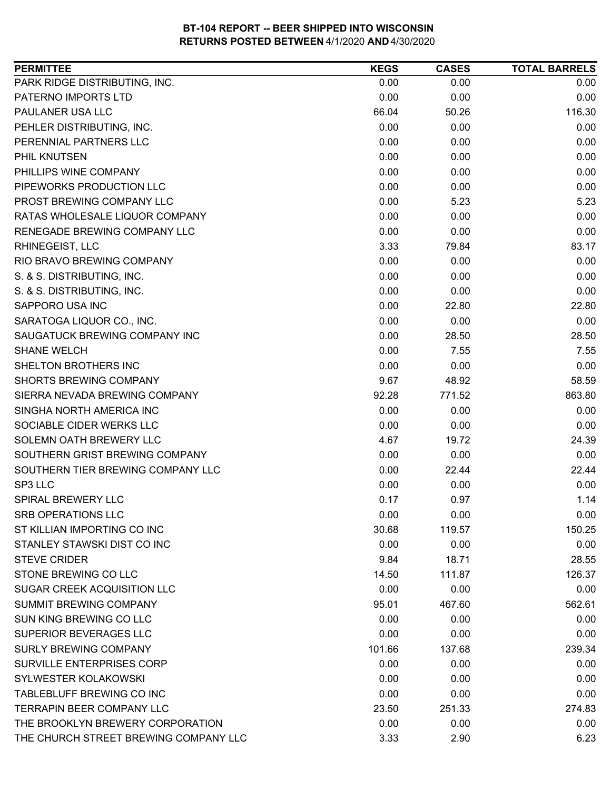| <b>PERMITTEE</b>                      | <b>KEGS</b> | <b>CASES</b> | <b>TOTAL BARRELS</b> |
|---------------------------------------|-------------|--------------|----------------------|
| PARK RIDGE DISTRIBUTING, INC.         | 0.00        | 0.00         | 0.00                 |
| PATERNO IMPORTS LTD                   | 0.00        | 0.00         | 0.00                 |
| PAULANER USA LLC                      | 66.04       | 50.26        | 116.30               |
| PEHLER DISTRIBUTING, INC.             | 0.00        | 0.00         | 0.00                 |
| PERENNIAL PARTNERS LLC                | 0.00        | 0.00         | 0.00                 |
| PHIL KNUTSEN                          | 0.00        | 0.00         | 0.00                 |
| PHILLIPS WINE COMPANY                 | 0.00        | 0.00         | 0.00                 |
| PIPEWORKS PRODUCTION LLC              | 0.00        | 0.00         | 0.00                 |
| PROST BREWING COMPANY LLC             | 0.00        | 5.23         | 5.23                 |
| RATAS WHOLESALE LIQUOR COMPANY        | 0.00        | 0.00         | 0.00                 |
| RENEGADE BREWING COMPANY LLC          | 0.00        | 0.00         | 0.00                 |
| RHINEGEIST, LLC                       | 3.33        | 79.84        | 83.17                |
| RIO BRAVO BREWING COMPANY             | 0.00        | 0.00         | 0.00                 |
| S. & S. DISTRIBUTING, INC.            | 0.00        | 0.00         | 0.00                 |
| S. & S. DISTRIBUTING, INC.            | 0.00        | 0.00         | 0.00                 |
| SAPPORO USA INC                       | 0.00        | 22.80        | 22.80                |
| SARATOGA LIQUOR CO., INC.             | 0.00        | 0.00         | 0.00                 |
| SAUGATUCK BREWING COMPANY INC         | 0.00        | 28.50        | 28.50                |
| <b>SHANE WELCH</b>                    | 0.00        | 7.55         | 7.55                 |
| SHELTON BROTHERS INC                  | 0.00        | 0.00         | 0.00                 |
| <b>SHORTS BREWING COMPANY</b>         | 9.67        | 48.92        | 58.59                |
| SIERRA NEVADA BREWING COMPANY         | 92.28       | 771.52       | 863.80               |
| SINGHA NORTH AMERICA INC              | 0.00        | 0.00         | 0.00                 |
| SOCIABLE CIDER WERKS LLC              | 0.00        | 0.00         | 0.00                 |
| SOLEMN OATH BREWERY LLC               | 4.67        | 19.72        | 24.39                |
| SOUTHERN GRIST BREWING COMPANY        | 0.00        | 0.00         | 0.00                 |
| SOUTHERN TIER BREWING COMPANY LLC     | 0.00        | 22.44        | 22.44                |
| SP3 LLC                               | 0.00        | 0.00         | 0.00                 |
| SPIRAL BREWERY LLC                    | 0.17        | 0.97         | 1.14                 |
| <b>SRB OPERATIONS LLC</b>             | 0.00        | 0.00         | 0.00                 |
| ST KILLIAN IMPORTING CO INC           | 30.68       | 119.57       | 150.25               |
| STANLEY STAWSKI DIST CO INC           | 0.00        | 0.00         | 0.00                 |
| <b>STEVE CRIDER</b>                   | 9.84        | 18.71        | 28.55                |
| STONE BREWING CO LLC                  | 14.50       | 111.87       | 126.37               |
| SUGAR CREEK ACQUISITION LLC           | 0.00        | 0.00         | 0.00                 |
| <b>SUMMIT BREWING COMPANY</b>         | 95.01       | 467.60       | 562.61               |
| SUN KING BREWING CO LLC               | 0.00        | 0.00         | 0.00                 |
| SUPERIOR BEVERAGES LLC                | 0.00        | 0.00         | 0.00                 |
| <b>SURLY BREWING COMPANY</b>          | 101.66      | 137.68       | 239.34               |
| <b>SURVILLE ENTERPRISES CORP</b>      | 0.00        | 0.00         | 0.00                 |
| <b>SYLWESTER KOLAKOWSKI</b>           | 0.00        | 0.00         | 0.00                 |
| <b>TABLEBLUFF BREWING CO INC</b>      | 0.00        | 0.00         | 0.00                 |
| TERRAPIN BEER COMPANY LLC             | 23.50       | 251.33       | 274.83               |
| THE BROOKLYN BREWERY CORPORATION      | 0.00        | 0.00         | 0.00                 |
| THE CHURCH STREET BREWING COMPANY LLC | 3.33        | 2.90         | 6.23                 |